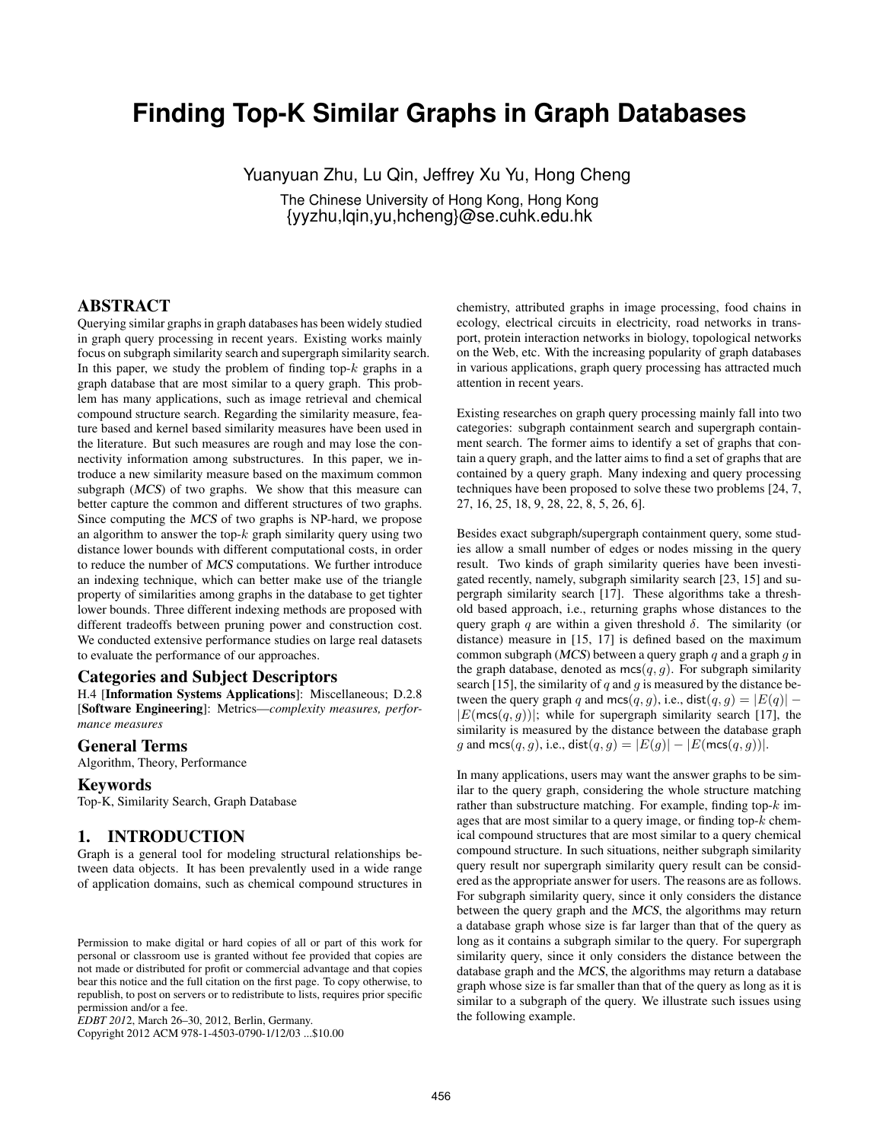# **Finding Top-K Similar Graphs in Graph Databases**

Yuanyuan Zhu, Lu Qin, Jeffrey Xu Yu, Hong Cheng The Chinese University of Hong Kong, Hong Kong {yyzhu,lqin,yu,hcheng}@se.cuhk.edu.hk

## ABSTRACT

Querying similar graphs in graph databases has been widely studied in graph query processing in recent years. Existing works mainly focus on subgraph similarity search and supergraph similarity search. In this paper, we study the problem of finding top- $k$  graphs in a graph database that are most similar to a query graph. This problem has many applications, such as image retrieval and chemical compound structure search. Regarding the similarity measure, feature based and kernel based similarity measures have been used in the literature. But such measures are rough and may lose the connectivity information among substructures. In this paper, we introduce a new similarity measure based on the maximum common subgraph (MCS) of two graphs. We show that this measure can better capture the common and different structures of two graphs. Since computing the MCS of two graphs is NP-hard, we propose an algorithm to answer the top- $k$  graph similarity query using two distance lower bounds with different computational costs, in order to reduce the number of MCS computations. We further introduce an indexing technique, which can better make use of the triangle property of similarities among graphs in the database to get tighter lower bounds. Three different indexing methods are proposed with different tradeoffs between pruning power and construction cost. We conducted extensive performance studies on large real datasets to evaluate the performance of our approaches.

#### Categories and Subject Descriptors

H.4 [Information Systems Applications]: Miscellaneous; D.2.8 [Software Engineering]: Metrics—*complexity measures, performance measures*

#### General Terms

Algorithm, Theory, Performance

# Keywords

Top-K, Similarity Search, Graph Database

#### 1. INTRODUCTION

Graph is a general tool for modeling structural relationships between data objects. It has been prevalently used in a wide range of application domains, such as chemical compound structures in

Copyright 2012 ACM 978-1-4503-0790-1/12/03 ...\$10.00

chemistry, attributed graphs in image processing, food chains in ecology, electrical circuits in electricity, road networks in transport, protein interaction networks in biology, topological networks on the Web, etc. With the increasing popularity of graph databases in various applications, graph query processing has attracted much attention in recent years.

Existing researches on graph query processing mainly fall into two categories: subgraph containment search and supergraph containment search. The former aims to identify a set of graphs that contain a query graph, and the latter aims to find a set of graphs that are contained by a query graph. Many indexing and query processing techniques have been proposed to solve these two problems [24, 7, 27, 16, 25, 18, 9, 28, 22, 8, 5, 26, 6].

Besides exact subgraph/supergraph containment query, some studies allow a small number of edges or nodes missing in the query result. Two kinds of graph similarity queries have been investigated recently, namely, subgraph similarity search [23, 15] and supergraph similarity search [17]. These algorithms take a threshold based approach, i.e., returning graphs whose distances to the query graph q are within a given threshold  $\delta$ . The similarity (or distance) measure in [15, 17] is defined based on the maximum common subgraph (MCS) between a query graph q and a graph q in the graph database, denoted as  $mcs(q, q)$ . For subgraph similarity search [15], the similarity of q and q is measured by the distance between the query graph q and mcs(q, q), i.e., dist(q, q) =  $|E(q)|$  –  $|E(\mathsf{mcs}(q, q))|$ ; while for supergraph similarity search [17], the similarity is measured by the distance between the database graph g and mcs $(q, g)$ , i.e., dist $(q, g) = |E(g)| - |E(\text{mcs}(q, g))|$ .

In many applications, users may want the answer graphs to be similar to the query graph, considering the whole structure matching rather than substructure matching. For example, finding top- $k$  images that are most similar to a query image, or finding top- $k$  chemical compound structures that are most similar to a query chemical compound structure. In such situations, neither subgraph similarity query result nor supergraph similarity query result can be considered as the appropriate answer for users. The reasons are as follows. For subgraph similarity query, since it only considers the distance between the query graph and the MCS, the algorithms may return a database graph whose size is far larger than that of the query as long as it contains a subgraph similar to the query. For supergraph similarity query, since it only considers the distance between the database graph and the MCS, the algorithms may return a database graph whose size is far smaller than that of the query as long as it is similar to a subgraph of the query. We illustrate such issues using

Permission to make digital or hard copies of all or part of this work for personal or classroom use is granted without fee provided that copies are not made or distributed for profit or commercial advantage and that copies bear this notice and the full citation on the first page. To copy otherwise, to republish, to post on servers or to redistribute to lists, requires prior specific permission and/or a fee.

*EDBT 201* the following example. 2, March 26–30, 2012, Berlin, Germany.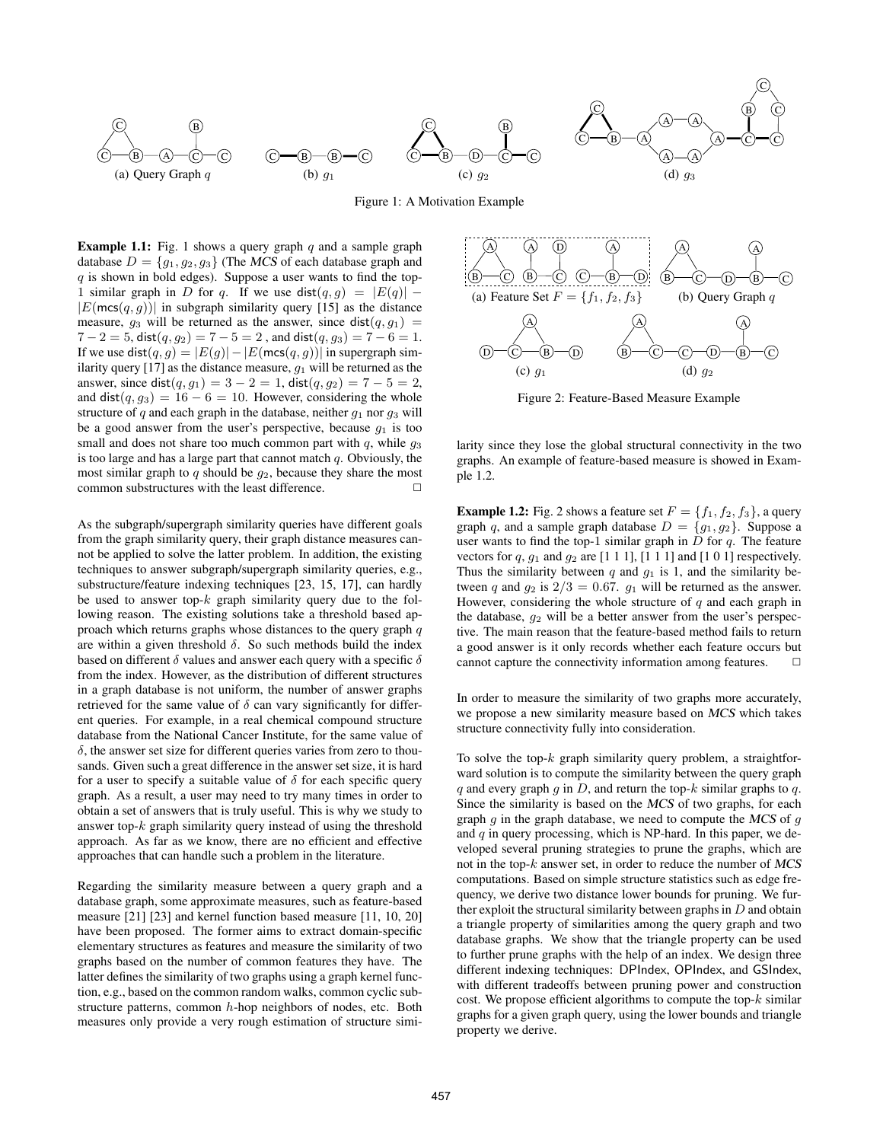

Figure 1: A Motivation Example

**Example 1.1:** Fig. 1 shows a query graph  $q$  and a sample graph database  $D = \{g_1, g_2, g_3\}$  (The MCS of each database graph and  $q$  is shown in bold edges). Suppose a user wants to find the top-1 similar graph in D for q. If we use  $dist(q, g) = |E(q)| |E(\mathsf{mcs}(q, q))|$  in subgraph similarity query [15] as the distance measure,  $g_3$  will be returned as the answer, since dist $(q, g_1)$  =  $7-2=5$ , dist $(q, g_2) = 7-5=2$ , and dist $(q, g_3) = 7-6=1$ . If we use dist $(q, g) = |E(g)| - |E(\text{mcs}(q, g))|$  in supergraph similarity query [17] as the distance measure,  $g_1$  will be returned as the answer, since dist $(q, g_1) = 3 - 2 = 1$ , dist $(q, g_2) = 7 - 5 = 2$ , and dist $(q, g_3) = 16 - 6 = 10$ . However, considering the whole structure of q and each graph in the database, neither  $g_1$  nor  $g_3$  will be a good answer from the user's perspective, because  $g_1$  is too small and does not share too much common part with  $q$ , while  $g_3$ is too large and has a large part that cannot match  $q$ . Obviously, the most similar graph to  $q$  should be  $q_2$ , because they share the most common substructures with the least difference.  $\Box$ 

As the subgraph/supergraph similarity queries have different goals from the graph similarity query, their graph distance measures cannot be applied to solve the latter problem. In addition, the existing techniques to answer subgraph/supergraph similarity queries, e.g., substructure/feature indexing techniques [23, 15, 17], can hardly be used to answer top- $k$  graph similarity query due to the following reason. The existing solutions take a threshold based approach which returns graphs whose distances to the query graph  $q$ are within a given threshold  $\delta$ . So such methods build the index based on different  $\delta$  values and answer each query with a specific  $\delta$ from the index. However, as the distribution of different structures in a graph database is not uniform, the number of answer graphs retrieved for the same value of  $\delta$  can vary significantly for different queries. For example, in a real chemical compound structure database from the National Cancer Institute, for the same value of  $\delta$ , the answer set size for different queries varies from zero to thousands. Given such a great difference in the answer set size, it is hard for a user to specify a suitable value of  $\delta$  for each specific query graph. As a result, a user may need to try many times in order to obtain a set of answers that is truly useful. This is why we study to answer top- $k$  graph similarity query instead of using the threshold approach. As far as we know, there are no efficient and effective approaches that can handle such a problem in the literature.

Regarding the similarity measure between a query graph and a database graph, some approximate measures, such as feature-based measure [21] [23] and kernel function based measure [11, 10, 20] have been proposed. The former aims to extract domain-specific elementary structures as features and measure the similarity of two graphs based on the number of common features they have. The latter defines the similarity of two graphs using a graph kernel function, e.g., based on the common random walks, common cyclic substructure patterns, common h-hop neighbors of nodes, etc. Both measures only provide a very rough estimation of structure simi-



Figure 2: Feature-Based Measure Example

larity since they lose the global structural connectivity in the two graphs. An example of feature-based measure is showed in Example 1.2.

**Example 1.2:** Fig. 2 shows a feature set  $F = \{f_1, f_2, f_3\}$ , a query graph q, and a sample graph database  $D = \{g_1, g_2\}$ . Suppose a user wants to find the top-1 similar graph in  $D$  for  $q$ . The feature vectors for  $q$ ,  $g_1$  and  $g_2$  are [1 1 1], [1 1 1] and [1 0 1] respectively. Thus the similarity between  $q$  and  $g_1$  is 1, and the similarity between q and  $g_2$  is  $2/3 = 0.67$ .  $g_1$  will be returned as the answer. However, considering the whole structure of  $q$  and each graph in the database,  $g_2$  will be a better answer from the user's perspective. The main reason that the feature-based method fails to return a good answer is it only records whether each feature occurs but cannot capture the connectivity information among features.

In order to measure the similarity of two graphs more accurately, we propose a new similarity measure based on MCS which takes structure connectivity fully into consideration.

To solve the top- $k$  graph similarity query problem, a straightforward solution is to compute the similarity between the query graph q and every graph q in D, and return the top- $k$  similar graphs to q. Since the similarity is based on the MCS of two graphs, for each graph  $q$  in the graph database, we need to compute the MCS of  $q$ and  $q$  in query processing, which is NP-hard. In this paper, we developed several pruning strategies to prune the graphs, which are not in the top- $k$  answer set, in order to reduce the number of  $MCS$ computations. Based on simple structure statistics such as edge frequency, we derive two distance lower bounds for pruning. We further exploit the structural similarity between graphs in  $D$  and obtain a triangle property of similarities among the query graph and two database graphs. We show that the triangle property can be used to further prune graphs with the help of an index. We design three different indexing techniques: DPIndex, OPIndex, and GSIndex, with different tradeoffs between pruning power and construction cost. We propose efficient algorithms to compute the top- $k$  similar graphs for a given graph query, using the lower bounds and triangle property we derive.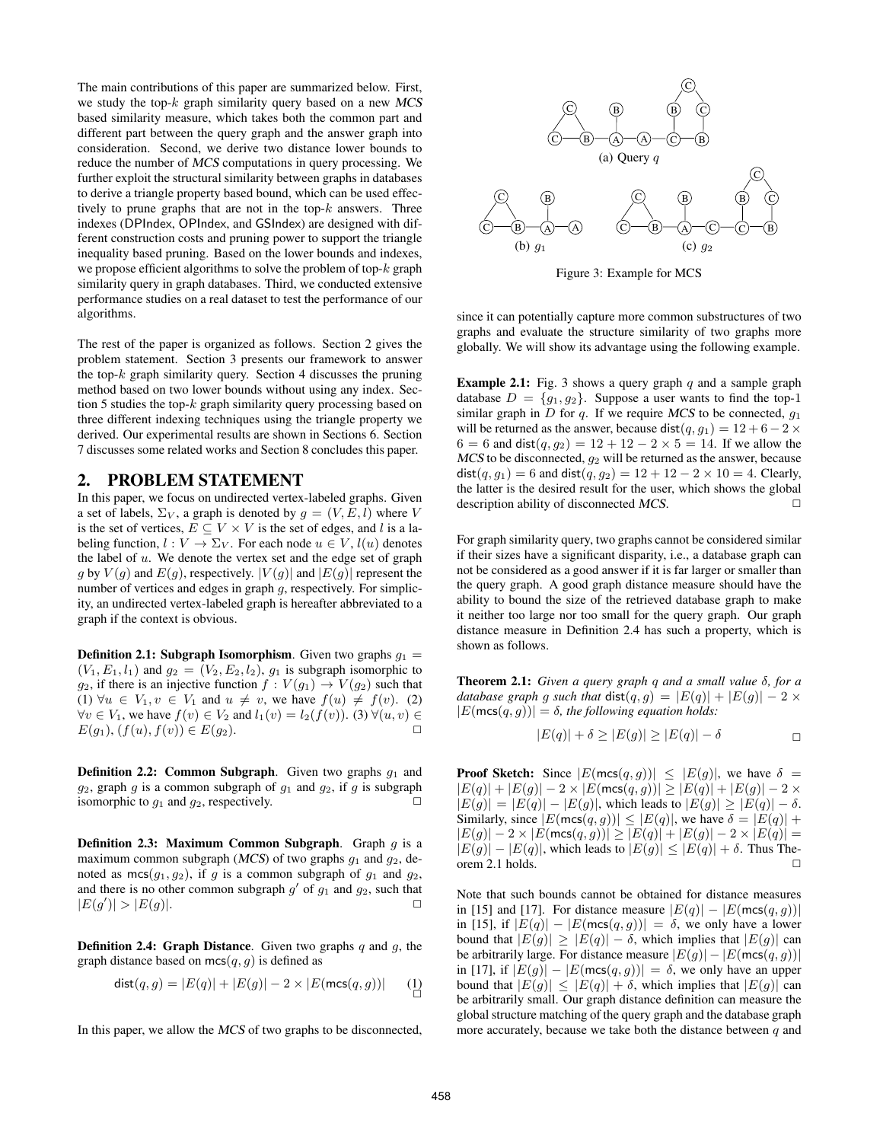The main contributions of this paper are summarized below. First, we study the top- $k$  graph similarity query based on a new  $MCS$ based similarity measure, which takes both the common part and different part between the query graph and the answer graph into consideration. Second, we derive two distance lower bounds to reduce the number of MCS computations in query processing. We further exploit the structural similarity between graphs in databases to derive a triangle property based bound, which can be used effectively to prune graphs that are not in the top- $k$  answers. Three indexes (DPIndex, OPIndex, and GSIndex) are designed with different construction costs and pruning power to support the triangle inequality based pruning. Based on the lower bounds and indexes, we propose efficient algorithms to solve the problem of top- $k$  graph similarity query in graph databases. Third, we conducted extensive performance studies on a real dataset to test the performance of our algorithms.

The rest of the paper is organized as follows. Section 2 gives the problem statement. Section 3 presents our framework to answer the top- $k$  graph similarity query. Section 4 discusses the pruning method based on two lower bounds without using any index. Section 5 studies the top- $k$  graph similarity query processing based on three different indexing techniques using the triangle property we derived. Our experimental results are shown in Sections 6. Section 7 discusses some related works and Section 8 concludes this paper.

#### 2. PROBLEM STATEMENT

In this paper, we focus on undirected vertex-labeled graphs. Given a set of labels,  $\Sigma_V$ , a graph is denoted by  $g = (V, E, l)$  where V is the set of vertices,  $E \subseteq V \times V$  is the set of edges, and l is a labeling function,  $l: V \to \Sigma_V$ . For each node  $u \in V$ ,  $l(u)$  denotes the label of  $u$ . We denote the vertex set and the edge set of graph g by  $V(g)$  and  $E(g)$ , respectively.  $|V(g)|$  and  $|E(g)|$  represent the number of vertices and edges in graph g, respectively. For simplicity, an undirected vertex-labeled graph is hereafter abbreviated to a graph if the context is obvious.

**Definition 2.1: Subgraph Isomorphism.** Given two graphs  $q_1$  =  $(V_1, E_1, l_1)$  and  $q_2 = (V_2, E_2, l_2)$ ,  $q_1$  is subgraph isomorphic to  $q_2$ , if there is an injective function  $f: V(q_1) \to V(q_2)$  such that (1)  $\forall u \in V_1, v \in V_1$  and  $u \neq v$ , we have  $f(u) \neq f(v)$ . (2)  $\forall v \in V_1$ , we have  $f(v) \in V_2$  and  $l_1(v) = l_2(f(v))$ . (3)  $\forall (u, v) \in$  $E(g_1), (f(u), f(v)) \in E(g_2).$ 

**Definition 2.2: Common Subgraph.** Given two graphs  $q_1$  and  $g_2$ , graph  $g$  is a common subgraph of  $g_1$  and  $g_2$ , if  $g$  is subgraph isomorphic to  $g_1$  and  $g_2$ , respectively.  $\Box$ 

**Definition 2.3: Maximum Common Subgraph.** Graph  $g$  is a maximum common subgraph (MCS) of two graphs  $g_1$  and  $g_2$ , denoted as  $mcs(g_1, g_2)$ , if g is a common subgraph of  $g_1$  and  $g_2$ , and there is no other common subgraph  $g'$  of  $g_1$  and  $g_2$ , such that  $|E(g')| > |E(g)|.$ 

**Definition 2.4: Graph Distance.** Given two graphs  $q$  and  $q$ , the graph distance based on  $mcs(q, g)$  is defined as

$$
dist(q, g) = |E(q)| + |E(g)| - 2 \times |E(\text{mcs}(q, g))| \qquad \text{(1)}
$$

In this paper, we allow the MCS of two graphs to be disconnected,



Figure 3: Example for MCS

since it can potentially capture more common substructures of two graphs and evaluate the structure similarity of two graphs more globally. We will show its advantage using the following example.

**Example 2.1:** Fig. 3 shows a query graph  $q$  and a sample graph database  $D = \{g_1, g_2\}$ . Suppose a user wants to find the top-1 similar graph in  $D$  for  $q$ . If we require MCS to be connected,  $q_1$ will be returned as the answer, because  $dist(q, g_1) = 12 + 6 - 2 \times$ 6 = 6 and dist $(q, q_2) = 12 + 12 - 2 \times 5 = 14$ . If we allow the  $MCS$  to be disconnected,  $g_2$  will be returned as the answer, because dist $(q, g_1) = 6$  and dist $(q, g_2) = 12 + 12 - 2 \times 10 = 4$ . Clearly, the latter is the desired result for the user, which shows the global description ability of disconnected MCS.

For graph similarity query, two graphs cannot be considered similar if their sizes have a significant disparity, i.e., a database graph can not be considered as a good answer if it is far larger or smaller than the query graph. A good graph distance measure should have the ability to bound the size of the retrieved database graph to make it neither too large nor too small for the query graph. Our graph distance measure in Definition 2.4 has such a property, which is shown as follows.

Theorem 2.1: *Given a query graph* q *and a small value* δ*, for a database graph g such that*  $dist(q, g) = |E(q)| + |E(g)| - 2 \times$  $|E(\mathsf{mcs}(q,g))| = \delta$ , the following equation holds:

$$
|E(q)| + \delta \ge |E(g)| \ge |E(q)| - \delta
$$

**Proof Sketch:** Since  $|E(\text{mcs}(q, q))| \leq |E(g)|$ , we have  $\delta =$  $|E(q)| + |E(g)| - 2 \times |E(\mathsf{mcs}(q, g))| \geq |E(q)| + |E(g)| - 2 \times$  $|E(g)| = |E(q)| - |E(g)|$ , which leads to  $|E(g)| \ge |E(q)| - \delta$ . Similarly, since  $|E(\mathsf{mcs}(q,g))| \leq |E(q)|$ , we have  $\delta = |E(q)| +$  $|E(g)| - 2 \times |E(\mathsf{mcs}(q, g))| \geq |E(g)| + |E(g)| - 2 \times |E(g)| =$  $|E(g)| - |E(q)|$ , which leads to  $|E(g)| \leq |E(q)| + \delta$ . Thus Theorem 2.1 holds.

Note that such bounds cannot be obtained for distance measures in [15] and [17]. For distance measure  $|E(q)| - |E(\text{mcs}(q, q))|$ in [15], if  $|E(q)| - |E(\text{mcs}(q, g))| = \delta$ , we only have a lower bound that  $|E(g)| \geq |E(g)| - \delta$ , which implies that  $|E(g)|$  can be arbitrarily large. For distance measure  $|E(g)| - |E(\text{mcs}(q, g))|$ in [17], if  $|E(g)| - |E(\text{mcs}(q, g))| = \delta$ , we only have an upper bound that  $|E(g)| \leq |E(g)| + \delta$ , which implies that  $|E(g)|$  can be arbitrarily small. Our graph distance definition can measure the global structure matching of the query graph and the database graph more accurately, because we take both the distance between  $q$  and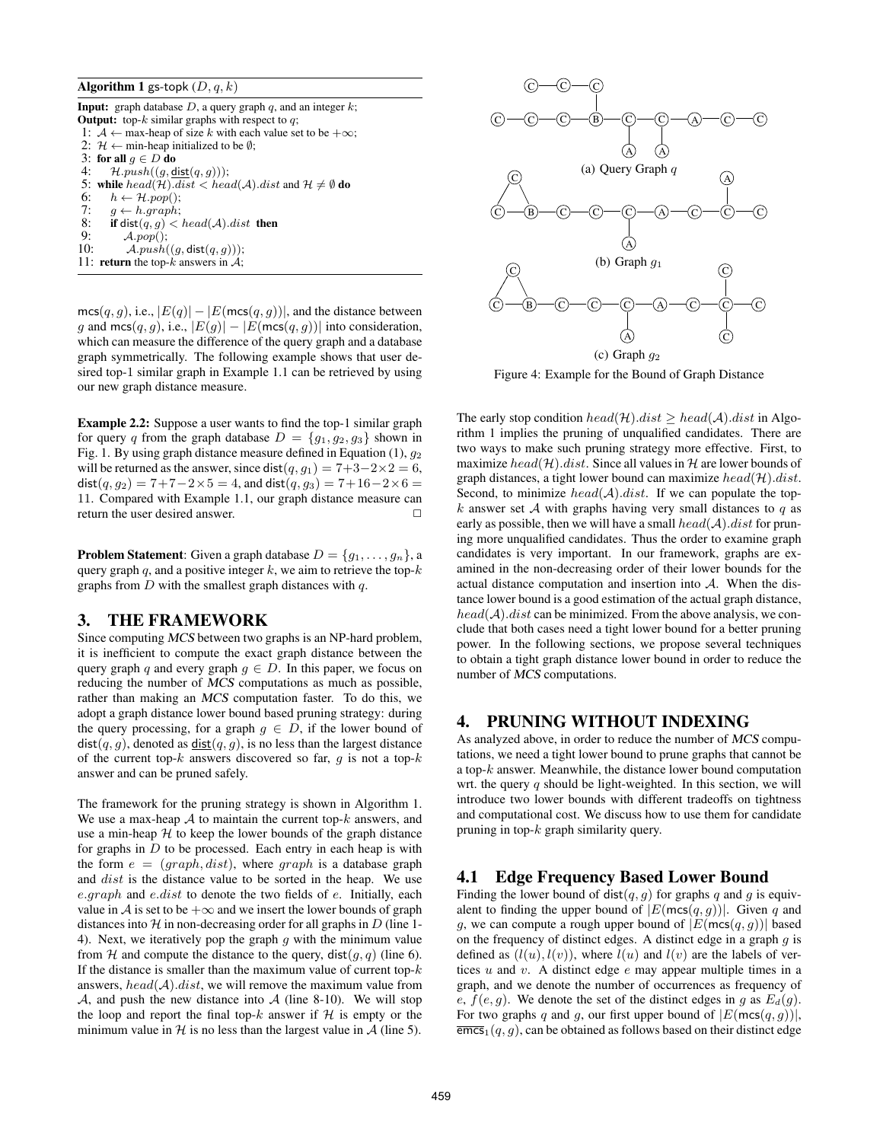#### Algorithm 1 gs-topk  $(D, q, k)$

**Input:** graph database  $D$ , a query graph  $q$ , and an integer  $k$ ; **Output:** top- $k$  similar graphs with respect to  $q$ ; 1:  $A \leftarrow$  max-heap of size k with each value set to be  $+\infty$ ; 2:  $\mathcal{H} \leftarrow$  min-heap initialized to be  $\emptyset$ ; 3: for all  $g \in D$  do<br>4:  $\mathcal{H}.push((q, d))$  $\mathcal{H}.push((g, \text{dist}(q, g)))$ ; 5: while  $head(\mathcal{H})$ .dist  $\lt$  head( $\mathcal{A}$ ).dist and  $\mathcal{H} \neq \emptyset$  do 6:  $h \leftarrow \mathcal{H}$ .pop(); 6:  $h \leftarrow \mathcal{H} . pop();$ <br>7:  $a \leftarrow h . graph;$ 7:  $g \leftarrow h \text{.} graph;$ <br>8: **if** dist $(a, a) <$ 8: if dist $(q, g) < head(A).dist$  then<br>9.  $A_{non}$ . 9:  $A.pop();$ <br>10:  $A.push($  $\mathcal{A}.push((g, dist(q, g)));$ 11: return the top- $k$  answers in  $A$ ;

 $mcs(q, g)$ , i.e.,  $|E(q)| - |E(mcs(q, g))|$ , and the distance between g and mcs $(q, g)$ , i.e.,  $|E(g)| - |E(\text{mcs}(q, g))|$  into consideration, which can measure the difference of the query graph and a database graph symmetrically. The following example shows that user desired top-1 similar graph in Example 1.1 can be retrieved by using our new graph distance measure.

Example 2.2: Suppose a user wants to find the top-1 similar graph for query q from the graph database  $D = \{g_1, g_2, g_3\}$  shown in Fig. 1. By using graph distance measure defined in Equation  $(1)$ ,  $g_2$ will be returned as the answer, since dist $(q, g_1) = 7+3-2\times 2 = 6$ , dist(q, g<sub>2</sub>) = 7+7-2×5 = 4, and dist(q, g<sub>3</sub>) = 7+16-2×6 = 11. Compared with Example 1.1, our graph distance measure can return the user desired answer.  $\Box$ 

**Problem Statement:** Given a graph database  $D = \{g_1, \ldots, g_n\}$ , a query graph q, and a positive integer  $k$ , we aim to retrieve the top- $k$ graphs from  $D$  with the smallest graph distances with  $q$ .

# 3. THE FRAMEWORK

Since computing MCS between two graphs is an NP-hard problem, it is inefficient to compute the exact graph distance between the query graph q and every graph  $g \in D$ . In this paper, we focus on reducing the number of MCS computations as much as possible, rather than making an MCS computation faster. To do this, we adopt a graph distance lower bound based pruning strategy: during the query processing, for a graph  $g \in D$ , if the lower bound of  $dist(q, g)$ , denoted as  $dist(q, g)$ , is no less than the largest distance of the current top- $k$  answers discovered so far,  $q$  is not a top- $k$ answer and can be pruned safely.

The framework for the pruning strategy is shown in Algorithm 1. We use a max-heap  $A$  to maintain the current top- $k$  answers, and use a min-heap  $H$  to keep the lower bounds of the graph distance for graphs in  $D$  to be processed. Each entry in each heap is with the form  $e = (graph, dist)$ , where graph is a database graph and *dist* is the distance value to be sorted in the heap. We use e.*graph* and *e.dist* to denote the two fields of *e*. Initially, each value in A is set to be  $+\infty$  and we insert the lower bounds of graph distances into  $H$  in non-decreasing order for all graphs in  $D$  (line 1-4). Next, we iteratively pop the graph  $q$  with the minimum value from H and compute the distance to the query,  $dist(g, q)$  (line 6). If the distance is smaller than the maximum value of current top- $k$ answers,  $head(A)$ . dist, we will remove the maximum value from  $\mathcal A$ , and push the new distance into  $\mathcal A$  (line 8-10). We will stop the loop and report the final top-k answer if  $H$  is empty or the minimum value in  $H$  is no less than the largest value in  $A$  (line 5).



Figure 4: Example for the Bound of Graph Distance

The early stop condition  $head(\mathcal{H})$ .dist  $\geq head(\mathcal{A})$ .dist in Algorithm 1 implies the pruning of unqualified candidates. There are two ways to make such pruning strategy more effective. First, to maximize  $head(\mathcal{H})$ .dist. Since all values in  $\mathcal{H}$  are lower bounds of graph distances, a tight lower bound can maximize  $head(\mathcal{H})$ .dist. Second, to minimize  $head(\mathcal{A}).dist.$  If we can populate the topk answer set  $A$  with graphs having very small distances to  $q$  as early as possible, then we will have a small  $head(\mathcal{A})$ . *dist* for pruning more unqualified candidates. Thus the order to examine graph candidates is very important. In our framework, graphs are examined in the non-decreasing order of their lower bounds for the actual distance computation and insertion into  $A$ . When the distance lower bound is a good estimation of the actual graph distance,  $head(\mathcal{A})$ . dist can be minimized. From the above analysis, we conclude that both cases need a tight lower bound for a better pruning power. In the following sections, we propose several techniques to obtain a tight graph distance lower bound in order to reduce the number of MCS computations.

# 4. PRUNING WITHOUT INDEXING

As analyzed above, in order to reduce the number of MCS computations, we need a tight lower bound to prune graphs that cannot be a top-k answer. Meanwhile, the distance lower bound computation wrt. the query  $q$  should be light-weighted. In this section, we will introduce two lower bounds with different tradeoffs on tightness and computational cost. We discuss how to use them for candidate pruning in top-k graph similarity query.

#### 4.1 Edge Frequency Based Lower Bound

Finding the lower bound of dist(q, g) for graphs q and g is equivalent to finding the upper bound of  $|E(\text{mcs}(q, q))|$ . Given q and g, we can compute a rough upper bound of  $|E(\text{mcs}(q, g))|$  based on the frequency of distinct edges. A distinct edge in a graph  $q$  is defined as  $(l(u), l(v))$ , where  $l(u)$  and  $l(v)$  are the labels of vertices  $u$  and  $v$ . A distinct edge  $e$  may appear multiple times in a graph, and we denote the number of occurrences as frequency of e,  $f(e, g)$ . We denote the set of the distinct edges in g as  $E_d(g)$ . For two graphs q and g, our first upper bound of  $|E(\text{mcs}(q, g))|$ ,  $\overline{\text{emcs}}_1(q, g)$ , can be obtained as follows based on their distinct edge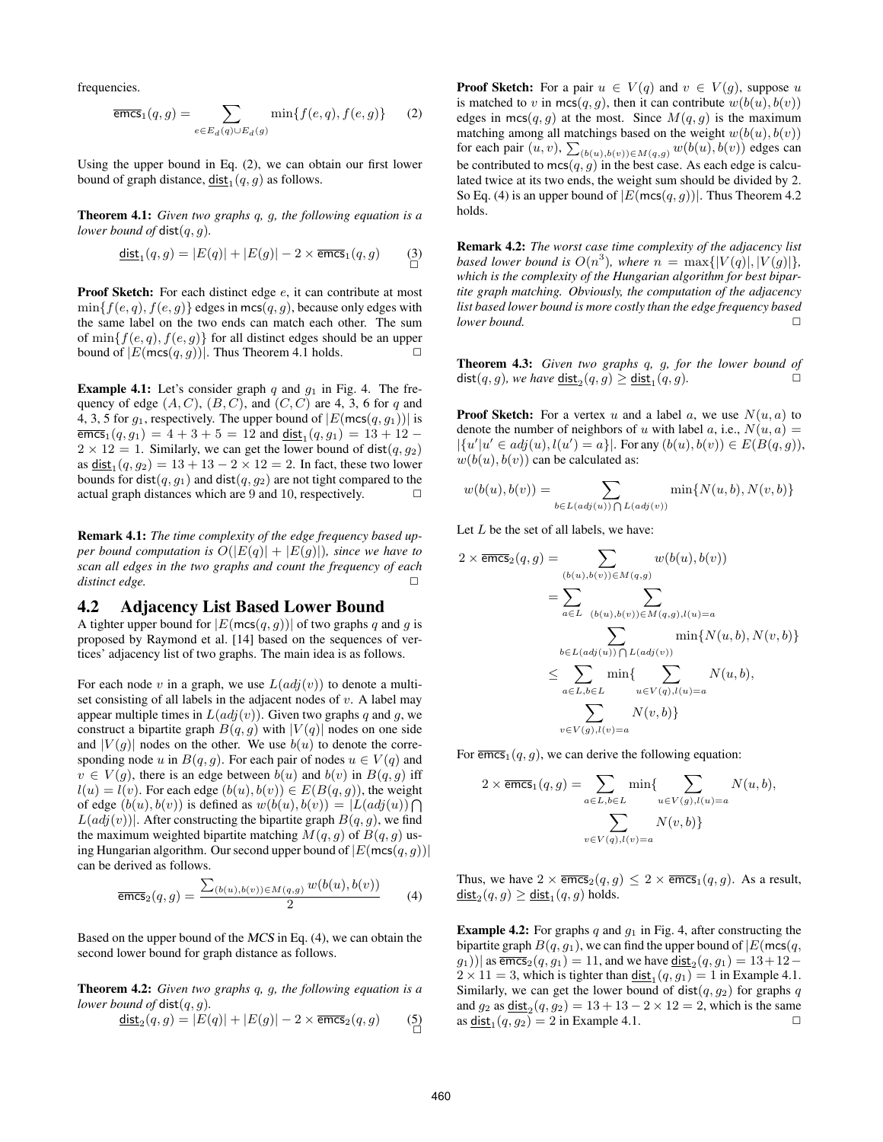frequencies.

$$
\overline{\text{emcs}}_1(q,g) = \sum_{e \in E_d(q) \cup E_d(g)} \min\{f(e,q), f(e,g)\} \tag{2}
$$

Using the upper bound in Eq. (2), we can obtain our first lower bound of graph distance,  $\underline{\text{dist}}_1(q, g)$  as follows.

Theorem 4.1: *Given two graphs* q*,* g*, the following equation is a lower bound of* dist(q, g)*.*

$$
\underline{\text{dist}}_1(q,g) = |E(q)| + |E(g)| - 2 \times \overline{\text{emcs}}_1(q,g) \qquad \text{(3)}
$$

Proof Sketch: For each distinct edge e, it can contribute at most  $\min\{f(e, q), f(e, g)\}\)$  edges in  $\text{mcs}(q, g)$ , because only edges with the same label on the two ends can match each other. The sum of  $\min\{f(e, q), f(e, g)\}\$  for all distinct edges should be an upper bound of  $|E(\mathsf{mcs}(q,g))|$ . Thus Theorem 4.1 holds.  $\Box$ 

**Example 4.1:** Let's consider graph  $q$  and  $q_1$  in Fig. 4. The frequency of edge  $(A, C), (B, C)$ , and  $(C, C)$  are 4, 3, 6 for q and 4, 3, 5 for  $g_1$ , respectively. The upper bound of  $|E(\text{mcs}(q, g_1))|$  is  $\overline{\text{emcs}}_1(q, g_1) = 4 + 3 + 5 = 12$  and  $\overline{\text{dist}}_1(q, g_1) = 13 + 12 - 12$  $2 \times 12 = 1$ . Similarly, we can get the lower bound of dist $(q, g_2)$ as  $\text{dist}_1(q, g_2) = 13 + 13 - 2 \times 12 = 2$ . In fact, these two lower bounds for dist(q,  $g_1$ ) and dist(q,  $g_2$ ) are not tight compared to the actual graph distances which are 9 and 10, respectively.

Remark 4.1: *The time complexity of the edge frequency based upper bound computation is*  $O(|E(q)| + |E(g)|)$ *, since we have to scan all edges in the two graphs and count the frequency of each* distinct edge.

#### 4.2 Adjacency List Based Lower Bound

A tighter upper bound for  $|E(\text{mcs}(q, q))|$  of two graphs q and q is proposed by Raymond et al. [14] based on the sequences of vertices' adjacency list of two graphs. The main idea is as follows.

For each node v in a graph, we use  $L(\text{adj}(v))$  to denote a multiset consisting of all labels in the adjacent nodes of  $v$ . A label may appear multiple times in  $L(\text{adj}(v))$ . Given two graphs q and g, we construct a bipartite graph  $B(q, g)$  with  $|V(q)|$  nodes on one side and  $|V(g)|$  nodes on the other. We use  $b(u)$  to denote the corresponding node u in  $B(q, g)$ . For each pair of nodes  $u \in V(q)$  and  $v \in V(g)$ , there is an edge between  $b(u)$  and  $b(v)$  in  $B(q, g)$  iff  $l(u) = l(v)$ . For each edge  $(b(u), b(v)) \in E(B(q, g))$ , the weight of edge  $(b(u), b(v))$  is defined as  $w(b(u), b(v)) = |L(adi(u)) \cap$  $L(\text{adj}(v))$ . After constructing the bipartite graph  $B(q, q)$ , we find the maximum weighted bipartite matching  $M(q, q)$  of  $B(q, q)$  using Hungarian algorithm. Our second upper bound of  $|E(\mathsf{mcs}(q,g))|$ can be derived as follows.

$$
\overline{\text{emcs}}_2(q,g) = \frac{\sum_{(b(u),b(v)) \in M(q,g)} w(b(u),b(v))}{2} \tag{4}
$$

Based on the upper bound of the MCS in Eq. (4), we can obtain the second lower bound for graph distance as follows.

Theorem 4.2: *Given two graphs* q*,* g*, the following equation is a lower bound of dist* $(q, q)$ *.* 

$$
\underline{\mathsf{dist}}_2(q,g) = |E(q)| + |E(g)| - 2 \times \overline{\mathsf{emcs}}_2(q,g) \qquad (5)
$$

**Proof Sketch:** For a pair  $u \in V(q)$  and  $v \in V(q)$ , suppose u is matched to v in  $mcs(q, g)$ , then it can contribute  $w(b(u), b(v))$ edges in  $mcs(q, g)$  at the most. Since  $M(q, g)$  is the maximum matching among all matchings based on the weight  $w(b(u), b(v))$ for each pair  $(u, v)$ ,  $\sum_{(b(u), b(v)) \in M(q, g)} w(b(u), b(v))$  edges can be contributed to  $mcs(q, g)$  in the best case. As each edge is calculated twice at its two ends, the weight sum should be divided by 2. So Eq. (4) is an upper bound of  $|E(\mathsf{mcs}(q, g))|$ . Thus Theorem 4.2 holds.

Remark 4.2: *The worst case time complexity of the adjacency list based lower bound is*  $O(n^3)$ *, where*  $n = \max\{|V(q)|, |V(g)|\}$ *, which is the complexity of the Hungarian algorithm for best bipartite graph matching. Obviously, the computation of the adjacency list based lower bound is more costly than the edge frequency based lower bound* 

Theorem 4.3: *Given two graphs* q*,* g*, for the lower bound of*  $\textsf{dist}(q,g)$ *, we have*  $\textsf{dist}_2(q,g) \geq \textsf{dist}_1(q,g)$ *.*  $\Box$ 

**Proof Sketch:** For a vertex u and a label a, we use  $N(u, a)$  to denote the number of neighbors of u with label a, i.e.,  $N(u, a) =$  $|\{u'|u' \in adj(u), l(u') = a\}|$ . For any  $(b(u), b(v)) \in E(B(q, g)),$  $w(b(u), b(v))$  can be calculated as:

$$
w(b(u), b(v)) = \sum_{b \in L(\text{adj}(u)) \bigcap L(\text{adj}(v))} \min\{N(u, b), N(v, b)\}\
$$

Let  $L$  be the set of all labels, we have:

$$
2 \times \overline{emcs}_{2}(q, g) = \sum_{(b(u), b(v)) \in M(q, g)} w(b(u), b(v))
$$
  
\n
$$
= \sum_{a \in L} \sum_{(b(u), b(v)) \in M(q, g), l(u) = a} w(b(u), b(u))
$$
  
\n
$$
\sum_{b \in L(adj(u)) \cap L(adj(v))} \min\{N(u, b), N(v, b)\}
$$
  
\n
$$
\leq \sum_{a \in L, b \in L} \min\{\sum_{u \in V(q), l(u) = a} N(u, b),
$$
  
\n
$$
\sum_{v \in V(g), l(v) = a} N(v, b)\}
$$

For  $\overline{\text{emcs}}_1(q, g)$ , we can derive the following equation:

$$
2 \times \overline{\text{emcs}}_1(q, g) = \sum_{a \in L, b \in L} \min\{\sum_{u \in V(g), l(u) = a} N(u, b),
$$

$$
\sum_{v \in V(q), l(v) = a} N(v, b)\}
$$

Thus, we have  $2 \times \overline{\text{emcs}}_2(q, g) \leq 2 \times \overline{\text{emcs}}_1(q, g)$ . As a result,  $\underline{\mathsf{dist}}_2(q,g) \geq \underline{\mathsf{dist}}_1(q,g)$  holds.

**Example 4.2:** For graphs q and  $g_1$  in Fig. 4, after constructing the bipartite graph  $B(q, g_1)$ , we can find the upper bound of  $|E(\text{mcs}(q,$  $g_1$ ))| as  $\overline{\text{emcs}}_2(q, g_1) = 11$ , and we have  $\overline{\text{dist}}_2(q, g_1) = 13 + 12 - 1$  $2 \times 11 = 3$ , which is tighter than  $\text{dist}_1(q, g_1) = 1$  in Example 4.1. Similarly, we can get the lower bound of  $dist(q, g_2)$  for graphs q and  $g_2$  as  $\frac{\text{dist}_2}{q, g_2} = 13 + 13 - 2 \times 12 = 2$ , which is the same as  $\frac{\text{dist}_1(q, g_2)}{=} 2$  in Example 4.1.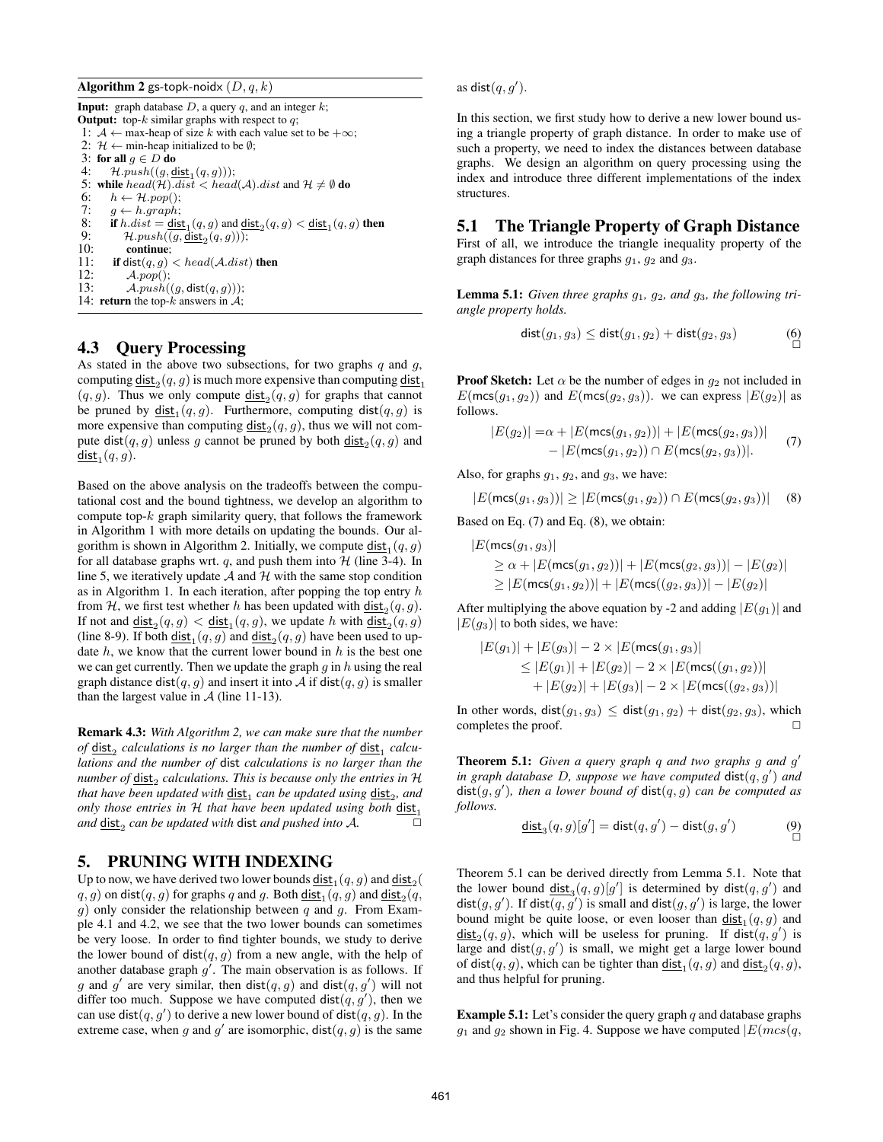```
Algorithm 2 gs-topk-noidx (D, q, k)
```

| <b>Input:</b> graph database $D$ , a query $q$ , and an integer $k$ ;                                    |
|----------------------------------------------------------------------------------------------------------|
| <b>Output:</b> top-k similar graphs with respect to q;                                                   |
| 1: $A \leftarrow$ max-heap of size k with each value set to be $+\infty$ ;                               |
| 2: $\mathcal{H} \leftarrow$ min-heap initialized to be $\emptyset$ ;                                     |
| 3: for all $q \in D$ do                                                                                  |
| 4: $\mathcal{H}.push((q, dist_1(q,q)));$                                                                 |
| 5: while $head(\mathcal{H})$ .dist $\langle head(\mathcal{A})$ .dist and $\mathcal{H} \neq \emptyset$ do |
| 6: $h \leftarrow \mathcal{H}.\mathit{pop}$ ;                                                             |
| 7: $q \leftarrow h.qraph;$                                                                               |
| 8:<br>if $h.dist = dist_1(q, q)$ and $dist_2(q, q) < dist_1(q, q)$ then                                  |
| 9:<br>$\mathcal{H}.push((q, dist_2(q, q)))$ ;                                                            |
| 10:<br>continue:                                                                                         |
| 11:<br>if dist(q, g) < head( $A$ .dist) then                                                             |
| 12:<br>(A.pop):                                                                                          |
| 13:<br>$A.push((q, dist(q, q)))$ ;                                                                       |
| 14: <b>return</b> the top-k answers in A;                                                                |

# 4.3 Query Processing

As stated in the above two subsections, for two graphs  $q$  and  $q$ , computing  $dist_2(q, g)$  is much more expensive than computing  $dist_1$  $(q, g)$ . Thus we only compute  $dist_2(q, g)$  for graphs that cannot be pruned by  $\text{dist}_1(q, g)$ . Furthermore, computing  $\text{dist}(q, g)$  is more expensive than computing  $dist_2(q, g)$ , thus we will not compute dist $(q, g)$  unless g cannot be pruned by both  $\underline{\text{dist}}_2(q, g)$  and  $\underline{\mathsf{dist}}_1(q,g).$ 

Based on the above analysis on the tradeoffs between the computational cost and the bound tightness, we develop an algorithm to compute top- $k$  graph similarity query, that follows the framework in Algorithm 1 with more details on updating the bounds. Our algorithm is shown in Algorithm 2. Initially, we compute  $dist_1(q, g)$ for all database graphs wrt.  $q$ , and push them into  $H$  (line 3-4). In line 5, we iteratively update  $A$  and  $H$  with the same stop condition as in Algorithm 1. In each iteration, after popping the top entry  $h$ from H, we first test whether h has been updated with  $\underline{\text{dist}}_2(q, g)$ . If not and  $\underline{\text{dist}}_2(q, g) < \underline{\text{dist}}_1(q, g)$ , we update h with  $\underline{\text{dist}}_2(q, g)$ (line 8-9). If both  $\underline{\text{dist}}_1(q, g)$  and  $\underline{\text{dist}}_2(q, g)$  have been used to update  $h$ , we know that the current lower bound in  $h$  is the best one we can get currently. Then we update the graph  $q$  in  $h$  using the real graph distance dist(q, g) and insert it into A if dist(q, g) is smaller than the largest value in  $\mathcal A$  (line 11-13).

Remark 4.3: *With Algorithm 2, we can make sure that the number of*  $\underline{\text{dist}}_2$  calculations is no larger than the number of  $\underline{\text{dist}}_1$  calcu*lations and the number of* dist *calculations is no larger than the number of*  $\underline{\text{dist}}_2$  *calculations. This is because only the entries in*  ${\mathcal H}$ *that have been updated with*  $\underline{\text{dist}}_1$  *can be updated using*  $\underline{\text{dist}}_2$ *, and only those entries in* H *that have been updated using both*  $\frac{dist_1}{\Box}$ <br>and dist can be undated with dist and pushed into A *and*  $\underline{\text{dist}}_2$  *can be updated with* dist *and pushed into*  $\mathcal{A}$ .

#### 5. PRUNING WITH INDEXING

Up to now, we have derived two lower bounds  $\underline{\mathsf{dist}}_1(q,g)$  and  $\underline{\mathsf{dist}}_2($  $q, g$ ) on dist $(q, g)$  for graphs  $q$  and  $g$ . Both  $\underline{\text{dist}}_1(q, g)$  and  $\underline{\text{dist}}_2(q, g)$ g) only consider the relationship between q and  $g$ . From Example 4.1 and 4.2, we see that the two lower bounds can sometimes be very loose. In order to find tighter bounds, we study to derive the lower bound of  $dist(q, q)$  from a new angle, with the help of another database graph  $g'$ . The main observation is as follows. If g and g' are very similar, then  $dist(q, g)$  and  $dist(q, g')$  will not differ too much. Suppose we have computed dist $(q, g')$ , then we can use dist $(q, g')$  to derive a new lower bound of dist $(q, g)$ . In the extreme case, when g and g' are isomorphic,  $dist(q, g)$  is the same

as dist $(q, g')$ .

In this section, we first study how to derive a new lower bound using a triangle property of graph distance. In order to make use of such a property, we need to index the distances between database graphs. We design an algorithm on query processing using the index and introduce three different implementations of the index structures.

#### 5.1 The Triangle Property of Graph Distance

First of all, we introduce the triangle inequality property of the graph distances for three graphs  $q_1$ ,  $q_2$  and  $q_3$ .

Lemma 5.1: Given three graphs  $g_1$ ,  $g_2$ , and  $g_3$ , the following tri*angle property holds.*

$$
\text{dist}(g_1, g_3) \le \text{dist}(g_1, g_2) + \text{dist}(g_2, g_3) \tag{6}
$$

**Proof Sketch:** Let  $\alpha$  be the number of edges in  $q_2$  not included in  $E(mcs(g_1, g_2))$  and  $E(mcs(g_2, g_3))$ . we can express  $|E(g_2)|$  as follows.

$$
|E(g_2)| = \alpha + |E(\text{mcs}(g_1, g_2))| + |E(\text{mcs}(g_2, g_3))|
$$
  
- |E(\text{mcs}(g\_1, g\_2)) \cap E(\text{mcs}(g\_2, g\_3))|. (7)

Also, for graphs  $g_1$ ,  $g_2$ , and  $g_3$ , we have:

$$
|E(\mathsf{mcs}(g_1, g_3))| \ge |E(\mathsf{mcs}(g_1, g_2)) \cap E(\mathsf{mcs}(g_2, g_3))| \quad (8)
$$

Based on Eq. (7) and Eq. (8), we obtain:

$$
|E(\mathsf{mcs}(g_1, g_3)|
$$
  
\n
$$
\geq \alpha + |E(\mathsf{mcs}(g_1, g_2))| + |E(\mathsf{mcs}(g_2, g_3))| - |E(g_2)|
$$
  
\n
$$
\geq |E(\mathsf{mcs}(g_1, g_2))| + |E(\mathsf{mcs}((g_2, g_3))| - |E(g_2)|
$$

After multiplying the above equation by -2 and adding  $|E(q_1)|$  and  $|E(g_3)|$  to both sides, we have:

$$
|E(g_1)| + |E(g_3)| - 2 \times |E(\mathsf{mcs}(g_1, g_3)|
$$
  
\n
$$
\leq |E(g_1)| + |E(g_2)| - 2 \times |E(\mathsf{mcs}((g_1, g_2))|
$$
  
\n
$$
+ |E(g_2)| + |E(g_3)| - 2 \times |E(\mathsf{mcs}((g_2, g_3))|
$$

In other words,  $dist(g_1, g_3) \leq dist(g_1, g_2) + dist(g_2, g_3)$ , which completes the proof.  $\Box$ 

Theorem 5.1: *Given a query graph* q *and two graphs* g *and* g ′ *in graph database* D*, suppose we have computed* dist(q, g′ ) *and*  $dist(g, g')$ , then a lower bound of  $dist(q, g)$  *can be computed as follows.*

$$
\underline{\text{dist}}_3(q,g)[g'] = \text{dist}(q,g') - \text{dist}(g,g') \tag{9}
$$

Theorem 5.1 can be derived directly from Lemma 5.1. Note that the lower bound  $dist_3(q, g)[g']$  is determined by  $dist(q, g')$  and dist $(g, g')$ . If dist $(q, g')$  is small and dist $(g, g')$  is large, the lower bound might be quite loose, or even looser than  $dist_1(q, g)$  and  $\frac{\text{dist}_2(q,g)}{g}$ , which will be useless for pruning. If  $\text{dist}(q,g')$  is large and  $dist(g, g')$  is small, we might get a large lower bound of dist $(q, g)$ , which can be tighter than  $\text{dist}_1(q, g)$  and  $\text{dist}_2(q, g)$ , and thus helpful for pruning.

**Example 5.1:** Let's consider the query graph  $q$  and database graphs  $g_1$  and  $g_2$  shown in Fig. 4. Suppose we have computed  $|E(mcs(q,$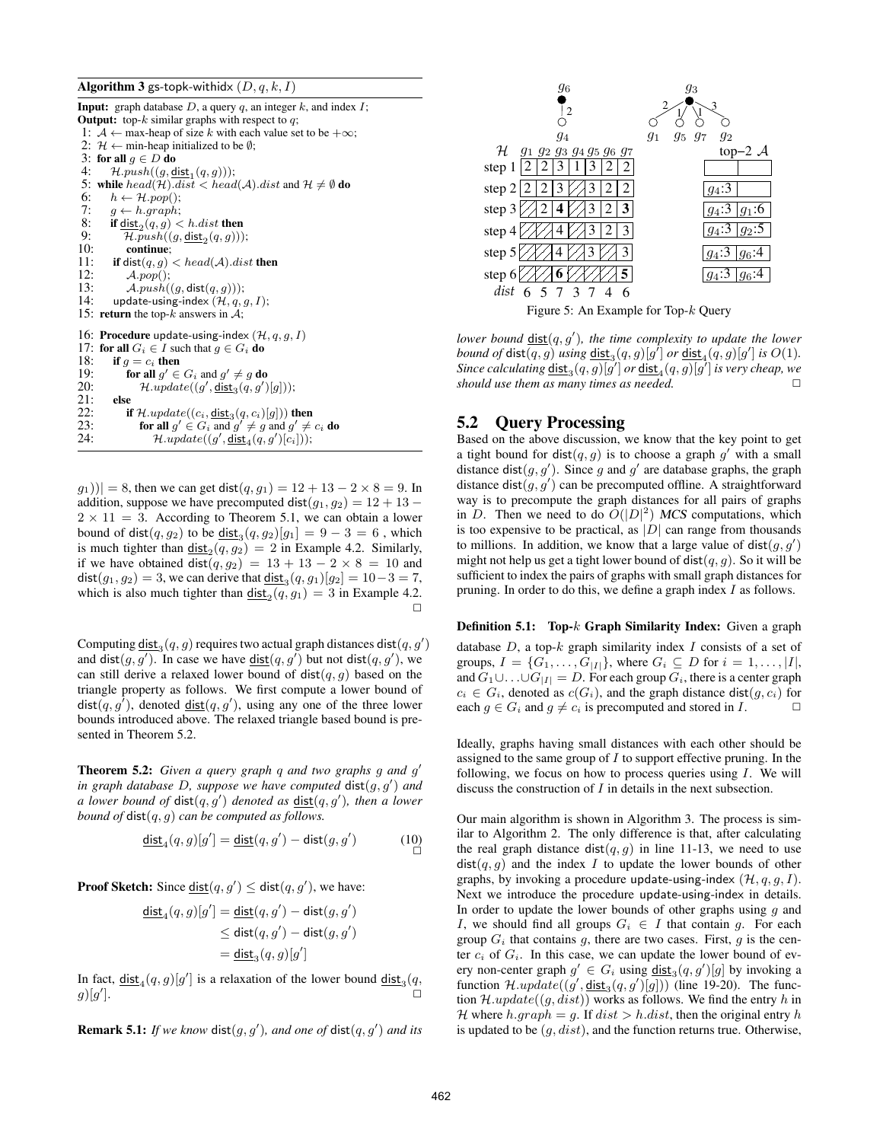#### Algorithm 3 gs-topk-withidx  $(D, q, k, I)$

**Input:** graph database  $D$ , a query  $q$ , an integer  $k$ , and index  $I$ ; **Output:** top- $k$  similar graphs with respect to  $q$ ; 1:  $A \leftarrow$  max-heap of size k with each value set to be  $+\infty$ ; 2:  $\mathcal{H} \leftarrow$  min-heap initialized to be  $\emptyset$ ; 3: for all  $g \in D$  do<br>4:  $\mathcal{H}.push((a, d))$ 4:  $\mathcal{H}.push((g, \underline{\text{dist}}_1(q, g)))$ ; 5: while  $head(\mathcal{H}).dist < head(\mathcal{A}).dist$  and  $\mathcal{H} \neq \emptyset$  do 6:  $h \leftarrow \mathcal{H}.pop(.)$ . 6:  $h \leftarrow \mathcal{H} . pop();$ <br>7:  $a \leftarrow h . graph;$ 7:  $g \leftarrow h \text{.} graph;$ <br>8: **if** dist<sub>0</sub>(*a, a*) < 8: if  $\underline{\text{dist}}_2(q,g) < h.dist$  then 9:  $\mathcal{H}.push((g, \underline{\text{dist}}_2(q, g)))$ ; 10: continue;<br>11: if dist(*a*, *a*) 11: if dist $(q, g) < head(A).dist$  then<br>12:  $A, non()$ :  $A.pop();$ 13:  $A.push((g, dist(q, g)));$ <br>14: undate-using-index (*H*, *a*, *a* update-using-index  $(\mathcal{H}, q, g, I);$ 15: return the top- $k$  answers in  $A$ ; 16: Procedure update-using-index  $(\mathcal{H}, q, g, I)$ 17: for all  $G_i \in I$  such that  $g \in G_i$  do 18: if  $g = c_i$  then<br>19: for all  $q' \in$ 19: **for all**  $g' \in G_i$  and  $g' \neq g$  **do** 20:  $\mathcal{H}.update((g', \underline{\text{dist}}_3(q, g')[g]))$ ;  $21:$  else<br>22: it 22: if  $\mathcal{H}.update((c_i, \text{dist}_3(q, c_i)[g]))$  then 23: **for all**  $g' \in G_i$  and  $g' \neq g$  and  $g' \neq c_i$  **do** 24:  $\mathcal{H}.update((g',\underline{\text{dist}}_4(q,g')[c_i]))$ ;

 $|g_1\rangle|$  = 8, then we can get dist $(q, g_1) = 12 + 13 - 2 \times 8 = 9$ . In addition, suppose we have precomputed dist $(g_1, g_2) = 12 + 13 2 \times 11 = 3$ . According to Theorem 5.1, we can obtain a lower bound of dist $(q, g_2)$  to be  $\underline{\text{dist}}_3(q, g_2)[g_1] = 9 - 3 = 6$ , which is much tighter than  $dist_2(q, g_2) = 2$  in Example 4.2. Similarly, if we have obtained dist $(q, g_2) = 13 + 13 - 2 \times 8 = 10$  and dist $(g_1, g_2) = 3$ , we can derive that  $\text{dist}_3(q, g_1)[g_2] = 10 - 3 = 7$ , which is also much tighter than  $dist_2(q, g_1) = 3$  in Example 4.2.  $\Box$ 

Computing  $\underline{\sf dist}_3(q,g)$  requires two actual graph distances  $\textsf{dist}(q,g')$ and dist $(g, g')$ . In case we have  $\text{dist}(q, g')$  but not dist $(q, g')$ , we can still derive a relaxed lower bound of  $dist(q, g)$  based on the triangle property as follows. We first compute a lower bound of  $dist(q, g')$ , denoted  $dist(q, g')$ , using any one of the three lower bounds introduced above. The relaxed triangle based bound is presented in Theorem 5.2.

Theorem 5.2: *Given a query graph* q *and two graphs* g *and* g ′ *in graph database* D*, suppose we have computed* dist(g, g′ ) *and a lower bound of* dist(q, g′ ) *denoted as* dist(q, g′ )*, then a lower bound of* dist(q, g) *can be computed as follows.*

$$
\underline{\text{dist}}_4(q, g)[g'] = \underline{\text{dist}}(q, g') - \text{dist}(g, g') \tag{10}
$$

**Proof Sketch:** Since  $\underline{\text{dist}}(q, g') \leq \text{dist}(q, g')$ , we have:

$$
\begin{aligned} \underline{\mathsf{dist}}_4(q,g)[g'] & = \underline{\mathsf{dist}}(q,g') - \mathsf{dist}(g,g') \\ & \leq \mathsf{dist}(q,g') - \mathsf{dist}(g,g') \\ & = \underline{\mathsf{dist}}_3(q,g)[g'] \end{aligned}
$$

In fact,  $dist_4(q, g)[g']$  is a relaxation of the lower bound  $dist_3(q, g')$  $g)[g']$  $\Box$ 

**Remark 5.1:** If we know  $dist(g, g')$ , and one of  $dist(q, g')$  and its



Figure 5: An Example for Top-k Query

*lower bound* dist(q, g′ )*, the time complexity to update the lower*  $b$ *ound*  $of$  dist $(q, g)$  *using*  $\underline{\text{dist}}_3(q, g)[g']$  *or*  $\underline{\text{dist}}_4(q, g)[g']$  *is*  $O(1)$ *.*  $\mathit{Since~ calculating~}$   $\underline{\mathsf{dist}}_3(q,g)[g']$  *or*  $\underline{\mathsf{dist}}_4(q,g)[g']$  *is very cheap, we should use them as many times as needed.*  $\Box$ 

#### 5.2 Query Processing

Based on the above discussion, we know that the key point to get a tight bound for  $dist(q, g)$  is to choose a graph  $g'$  with a small distance dist $(g, g')$ . Since g and g' are database graphs, the graph distance dist $(g, g')$  can be precomputed offline. A straightforward way is to precompute the graph distances for all pairs of graphs in D. Then we need to do  $O(|D|^2)$  MCS computations, which is too expensive to be practical, as  $|D|$  can range from thousands to millions. In addition, we know that a large value of  $dist(g, g')$ might not help us get a tight lower bound of  $dist(q, g)$ . So it will be sufficient to index the pairs of graphs with small graph distances for pruning. In order to do this, we define a graph index I as follows.

**Definition 5.1:** Top- $k$  Graph Similarity Index: Given a graph database  $D$ , a top- $k$  graph similarity index  $I$  consists of a set of groups,  $I = \{G_1, \ldots, G_{|I|}\}\$ , where  $G_i \subseteq D$  for  $i = 1, \ldots, |I|$ , and  $G_1 \cup \ldots \cup G_{|I|} = D$ . For each group  $G_i$ , there is a center graph  $c_i \in G_i$ , denoted as  $c(G_i)$ , and the graph distance dist $(g, c_i)$  for each  $g \in G_i$  and  $g \neq c_i$  is precomputed and stored in  $I$ .  $\Box$ 

Ideally, graphs having small distances with each other should be assigned to the same group of  $I$  to support effective pruning. In the following, we focus on how to process queries using  $I$ . We will discuss the construction of I in details in the next subsection.

Our main algorithm is shown in Algorithm 3. The process is similar to Algorithm 2. The only difference is that, after calculating the real graph distance  $dist(q, g)$  in line 11-13, we need to use  $dist(q, g)$  and the index I to update the lower bounds of other graphs, by invoking a procedure update-using-index  $(\mathcal{H}, q, g, I)$ . Next we introduce the procedure update-using-index in details. In order to update the lower bounds of other graphs using  $q$  and I, we should find all groups  $G_i \in I$  that contain q. For each group  $G_i$  that contains g, there are two cases. First, g is the center  $c_i$  of  $G_i$ . In this case, we can update the lower bound of every non-center graph  $g' \in G_i$  using  $dist_3(q, g')[g]$  by invoking a function  $\mathcal{H}.update((g', \text{dist}_3(q, g')[g]))$  (line 19-20). The function  $\mathcal{H}.update((g, dist))$  works as follows. We find the entry h in H where  $h\text{.}graph = g$ . If  $dist > h\text{.}dist$ , then the original entry h is updated to be  $(q, dist)$ , and the function returns true. Otherwise,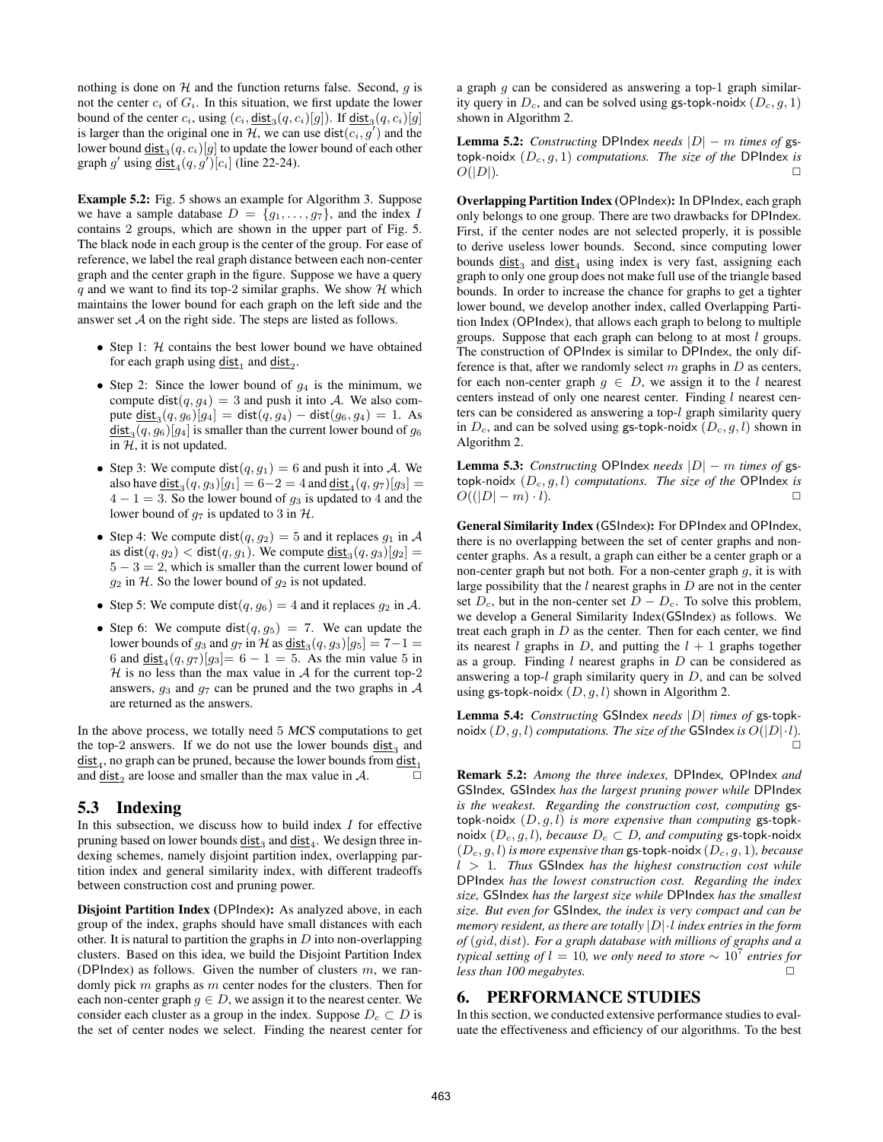nothing is done on  $H$  and the function returns false. Second,  $g$  is not the center  $c_i$  of  $G_i$ . In this situation, we first update the lower bound of the center  $c_i$ , using  $(c_i, \text{dist}_3(q, c_i)[g])$ . If  $\text{dist}_3(q, c_i)[g]$ is larger than the original one in H, we can use  $dist(c_i, g')$  and the lower bound  $\underline{\sf dist}_3(q,c_i)[g]$  to update the lower bound of each other graph g' using  $dist_4(q, g')[c_i]$  (line 22-24).

Example 5.2: Fig. 5 shows an example for Algorithm 3. Suppose we have a sample database  $D = \{g_1, \ldots, g_7\}$ , and the index I contains 2 groups, which are shown in the upper part of Fig. 5. The black node in each group is the center of the group. For ease of reference, we label the real graph distance between each non-center graph and the center graph in the figure. Suppose we have a query q and we want to find its top-2 similar graphs. We show  $H$  which maintains the lower bound for each graph on the left side and the answer set A on the right side. The steps are listed as follows.

- Step 1:  $H$  contains the best lower bound we have obtained for each graph using  $dist_1$  and  $dist_2$ .
- Step 2: Since the lower bound of  $g_4$  is the minimum, we compute dist $(q, q_4) = 3$  and push it into A. We also compute  $\underline{\text{dist}}_3(q, g_6)[g_4] = \text{dist}(q, g_4) - \text{dist}(g_6, g_4) = 1$ . As  $\underline{\sf dist}_3(q,g_6)[g_4]$  is smaller than the current lower bound of  $g_6$ in  $H$ , it is not updated.
- Step 3: We compute  $dist(q, g_1) = 6$  and push it into A. We also have  $\underline{\sf dist}_3(q, g_3)[g_1] = 6 - 2 = 4$  and  $\underline{\sf dist}_4(q, g_7)[g_3] =$  $4 - 1 = 3$ . So the lower bound of  $g_3$  is updated to 4 and the lower bound of  $g_7$  is updated to 3 in  $H$ .
- Step 4: We compute dist $(q, g_2) = 5$  and it replaces  $g_1$  in A as dist $(q, g_2) <$  dist $(q, g_1)$ . We compute  $\underline{\text{dist}}_3(q, g_3)[g_2] =$  $5 - 3 = 2$ , which is smaller than the current lower bound of  $q_2$  in H. So the lower bound of  $q_2$  is not updated.
- Step 5: We compute dist $(q, g_6) = 4$  and it replaces  $g_2$  in A.
- Step 6: We compute dist $(q, g_5) = 7$ . We can update the lower bounds of  $g_3$  and  $g_7$  in H as  $\underline{\text{dist}}_3(q, g_3)[g_5] = 7-1 =$ 6 and  $\frac{\text{dist}_4(q, g_7)[g_3]}{=} 6 - 1 = 5$ . As the min value 5 in  $H$  is no less than the max value in  $A$  for the current top-2 answers,  $q_3$  and  $q_7$  can be pruned and the two graphs in A are returned as the answers.

In the above process, we totally need 5 MCS computations to get the top-2 answers. If we do not use the lower bounds  $dist_3$  and  $dist_4$ , no graph can be pruned, because the lower bounds from  $dist_1$ and  $\frac{dist_2}{s}$  are loose and smaller than the max value in A.

# 5.3 Indexing

In this subsection, we discuss how to build index  $I$  for effective pruning based on lower bounds  $\underline{\sf dist}_3$  and  $\underline{\sf dist}_4$ . We design three indexing schemes, namely disjoint partition index, overlapping partition index and general similarity index, with different tradeoffs between construction cost and pruning power.

Disjoint Partition Index (DPIndex): As analyzed above, in each group of the index, graphs should have small distances with each other. It is natural to partition the graphs in  $D$  into non-overlapping clusters. Based on this idea, we build the Disjoint Partition Index (DPIndex) as follows. Given the number of clusters  $m$ , we randomly pick  $m$  graphs as  $m$  center nodes for the clusters. Then for each non-center graph  $g \in D$ , we assign it to the nearest center. We consider each cluster as a group in the index. Suppose  $D_c \subset D$  is the set of center nodes we select. Finding the nearest center for

a graph  $q$  can be considered as answering a top-1 graph similarity query in  $D_c$ , and can be solved using gs-topk-noidx  $(D_c, g, 1)$ shown in Algorithm 2.

Lemma 5.2: *Constructing* DPIndex *needs* |D| − m *times of* gstopk-noidx  $(D_c, g, 1)$  *computations. The size of the* DPIndex *is*  $O(|D|)$ .

Overlapping Partition Index (OPIndex): In DPIndex, each graph only belongs to one group. There are two drawbacks for DPIndex. First, if the center nodes are not selected properly, it is possible to derive useless lower bounds. Second, since computing lower bounds  $dist_3$  and  $dist_4$  using index is very fast, assigning each graph to only one group does not make full use of the triangle based bounds. In order to increase the chance for graphs to get a tighter lower bound, we develop another index, called Overlapping Partition Index (OPIndex), that allows each graph to belong to multiple groups. Suppose that each graph can belong to at most  $l$  groups. The construction of OPIndex is similar to DPIndex, the only difference is that, after we randomly select  $m$  graphs in  $D$  as centers, for each non-center graph  $g \in D$ , we assign it to the l nearest centers instead of only one nearest center. Finding  $l$  nearest centers can be considered as answering a top-l graph similarity query in  $D_c$ , and can be solved using gs-topk-noidx  $(D_c, g, l)$  shown in Algorithm 2.

Lemma 5.3: *Constructing* OPIndex *needs* |D| − m *times of* gstopk*-*noidx (Dc, g, l) *computations. The size of the* OPIndex *is*  $O((|D| - m) \cdot l)$ .

General Similarity Index (GSIndex): For DPIndex and OPIndex, there is no overlapping between the set of center graphs and noncenter graphs. As a result, a graph can either be a center graph or a non-center graph but not both. For a non-center graph  $q$ , it is with large possibility that the  $l$  nearest graphs in  $D$  are not in the center set  $D_c$ , but in the non-center set  $D - D_c$ . To solve this problem, we develop a General Similarity Index(GSIndex) as follows. We treat each graph in  $D$  as the center. Then for each center, we find its nearest l graphs in D, and putting the  $l + 1$  graphs together as a group. Finding  $l$  nearest graphs in  $D$  can be considered as answering a top- $l$  graph similarity query in  $D$ , and can be solved using gs-topk-noidx  $(D, q, l)$  shown in Algorithm 2.

Lemma 5.4: *Constructing* GSIndex *needs* |D| *times of* gs*-*topknoidx  $(D, g, l)$  *computations. The size of the GSIndex is*  $O(|D| \cdot l)$ *.*  $\Box$ 

Remark 5.2: *Among the three indexes,* DPIndex*,* OPIndex *and* GSIndex*,* GSIndex *has the largest pruning power while* DPIndex *is the weakest. Regarding the construction cost, computing* gstopk*-*noidx (D, g, l) *is more expensive than computing* gs*-*topknoidx  $(D_c, g, l)$ *, because*  $D_c \subset D$ *, and computing* gs-topk-noidx  $(D_c, g, l)$  is more expensive than gs-topk-noidx  $(D_c, g, 1)$ *, because* l > 1*. Thus* GSIndex *has the highest construction cost while* DPIndex *has the lowest construction cost. Regarding the index size,* GSIndex *has the largest size while* DPIndex *has the smallest size. But even for* GSIndex*, the index is very compact and can be memory resident, as there are totally* |D|·l *index entries in the form of* (gid, dist)*. For a graph database with millions of graphs and a typical setting of*  $l = 10$ , we only need to store  $\sim 10^7$  entries for  $less than 100 megabytes.$ 

#### 6. PERFORMANCE STUDIES

In this section, we conducted extensive performance studies to evaluate the effectiveness and efficiency of our algorithms. To the best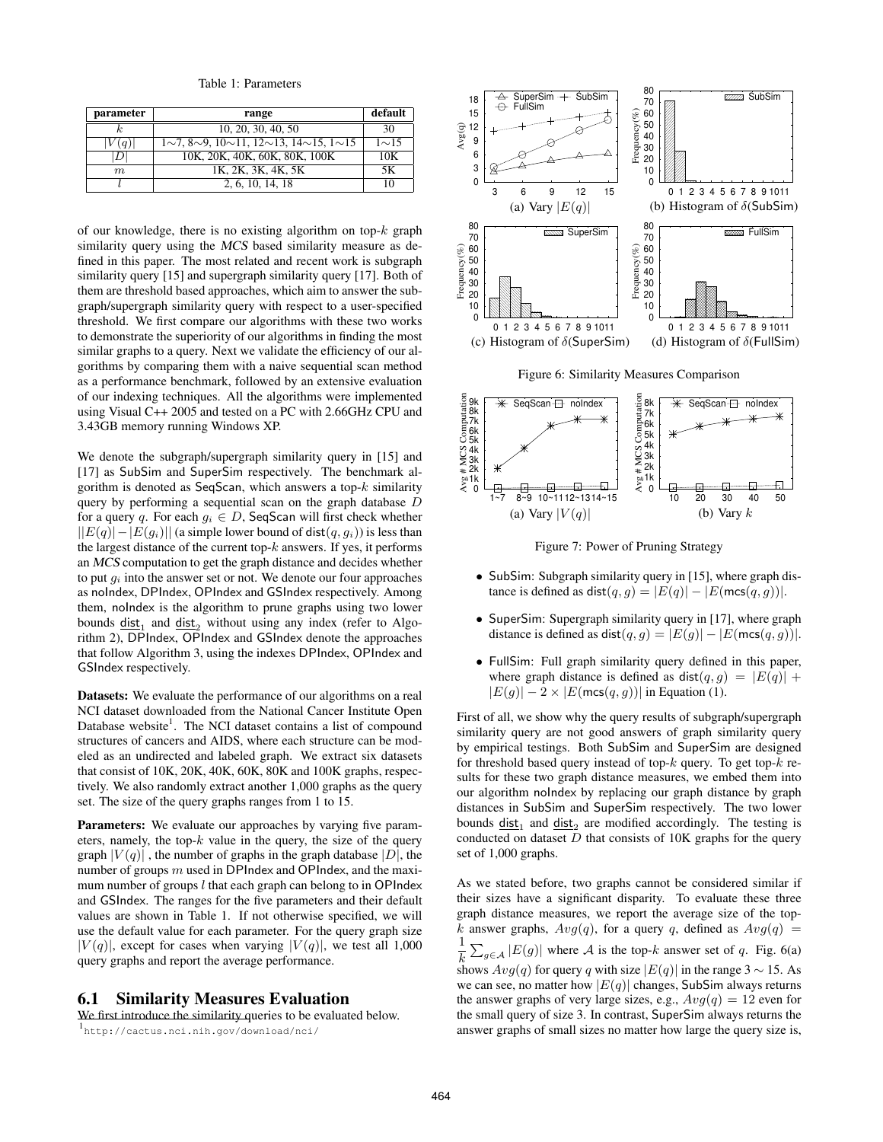Table 1: Parameters

| parameter | range                                                                        | default     |
|-----------|------------------------------------------------------------------------------|-------------|
|           | 10, 20, 30, 40, 50                                                           | 30          |
|           | $1\sim$ 7, 8 $\sim$ 9, 10 $\sim$ 11, 12 $\sim$ 13, 14 $\sim$ 15, 1 $\sim$ 15 | $1 \sim 15$ |
|           | 10K, 20K, 40K, 60K, 80K, 100K                                                | 10K         |
| m         | 1K, 2K, 3K, 4K, 5K                                                           | 5Κ          |
|           | 2, 6, 10, 14, 18                                                             |             |

of our knowledge, there is no existing algorithm on top- $k$  graph similarity query using the MCS based similarity measure as defined in this paper. The most related and recent work is subgraph similarity query [15] and supergraph similarity query [17]. Both of them are threshold based approaches, which aim to answer the subgraph/supergraph similarity query with respect to a user-specified threshold. We first compare our algorithms with these two works to demonstrate the superiority of our algorithms in finding the most similar graphs to a query. Next we validate the efficiency of our algorithms by comparing them with a naive sequential scan method as a performance benchmark, followed by an extensive evaluation of our indexing techniques. All the algorithms were implemented using Visual C++ 2005 and tested on a PC with 2.66GHz CPU and 3.43GB memory running Windows XP.

We denote the subgraph/supergraph similarity query in [15] and [17] as SubSim and SuperSim respectively. The benchmark algorithm is denoted as SeqScan, which answers a top- $k$  similarity query by performing a sequential scan on the graph database D for a query q. For each  $g_i \in D$ , SeqScan will first check whether  $||E(q)|-|E(g_i)||$  (a simple lower bound of dist $(q, g_i)$ ) is less than the largest distance of the current top- $k$  answers. If yes, it performs an MCS computation to get the graph distance and decides whether to put  $g_i$  into the answer set or not. We denote our four approaches as noIndex, DPIndex, OPIndex and GSIndex respectively. Among them, noIndex is the algorithm to prune graphs using two lower bounds  $dist_1$  and  $dist_2$  without using any index (refer to Algorithm 2), DPIndex, OPIndex and GSIndex denote the approaches that follow Algorithm 3, using the indexes DPIndex, OPIndex and GSIndex respectively.

Datasets: We evaluate the performance of our algorithms on a real NCI dataset downloaded from the National Cancer Institute Open Database website<sup>1</sup>. The NCI dataset contains a list of compound structures of cancers and AIDS, where each structure can be modeled as an undirected and labeled graph. We extract six datasets that consist of 10K, 20K, 40K, 60K, 80K and 100K graphs, respectively. We also randomly extract another 1,000 graphs as the query set. The size of the query graphs ranges from 1 to 15.

Parameters: We evaluate our approaches by varying five parameters, namely, the top- $k$  value in the query, the size of the query graph  $|V(q)|$ , the number of graphs in the graph database  $|D|$ , the number of groups  $m$  used in DPIndex and OPIndex, and the maximum number of groups  $l$  that each graph can belong to in OPIndex and GSIndex. The ranges for the five parameters and their default values are shown in Table 1. If not otherwise specified, we will use the default value for each parameter. For the query graph size  $|V(q)|$ , except for cases when varying  $|V(q)|$ , we test all 1,000 query graphs and report the average performance.

#### 6.1 Similarity Measures Evaluation

We first introduce the similarity queries to be evaluated below. 1 http://cactus.nci.nih.gov/download/nci/



Figure 6: Similarity Measures Comparison



Figure 7: Power of Pruning Strategy

- SubSim: Subgraph similarity query in [15], where graph distance is defined as  $dist(q, g) = |E(q)| - |E(\text{mcs}(q, g))|$ .
- SuperSim: Supergraph similarity query in [17], where graph distance is defined as  $dist(q, g) = |E(g)| - |E(mcs(q, g))|$ .
- FullSim: Full graph similarity query defined in this paper, where graph distance is defined as  $dist(q, q) = |E(q)| +$  $|E(q)| - 2 \times |E(\text{mcs}(q, q))|$  in Equation (1).

First of all, we show why the query results of subgraph/supergraph similarity query are not good answers of graph similarity query by empirical testings. Both SubSim and SuperSim are designed for threshold based query instead of top- $k$  query. To get top- $k$  results for these two graph distance measures, we embed them into our algorithm noIndex by replacing our graph distance by graph distances in SubSim and SuperSim respectively. The two lower bounds  $dist_1$  and  $dist_2$  are modified accordingly. The testing is conducted on dataset  $D$  that consists of 10K graphs for the query set of 1,000 graphs.

As we stated before, two graphs cannot be considered similar if their sizes have a significant disparity. To evaluate these three graph distance measures, we report the average size of the topk answer graphs,  $Avg(q)$ , for a query q, defined as  $Avg(q)$  = 1  $\frac{1}{k} \sum_{g \in \mathcal{A}} |E(g)|$  where  $\mathcal A$  is the top-k answer set of q. Fig. 6(a) shows  $Avg(q)$  for query q with size  $|E(q)|$  in the range 3 ~ 15. As we can see, no matter how  $|E(q)|$  changes, SubSim always returns the answer graphs of very large sizes, e.g.,  $Avg(q) = 12$  even for the small query of size 3. In contrast, SuperSim always returns the answer graphs of small sizes no matter how large the query size is,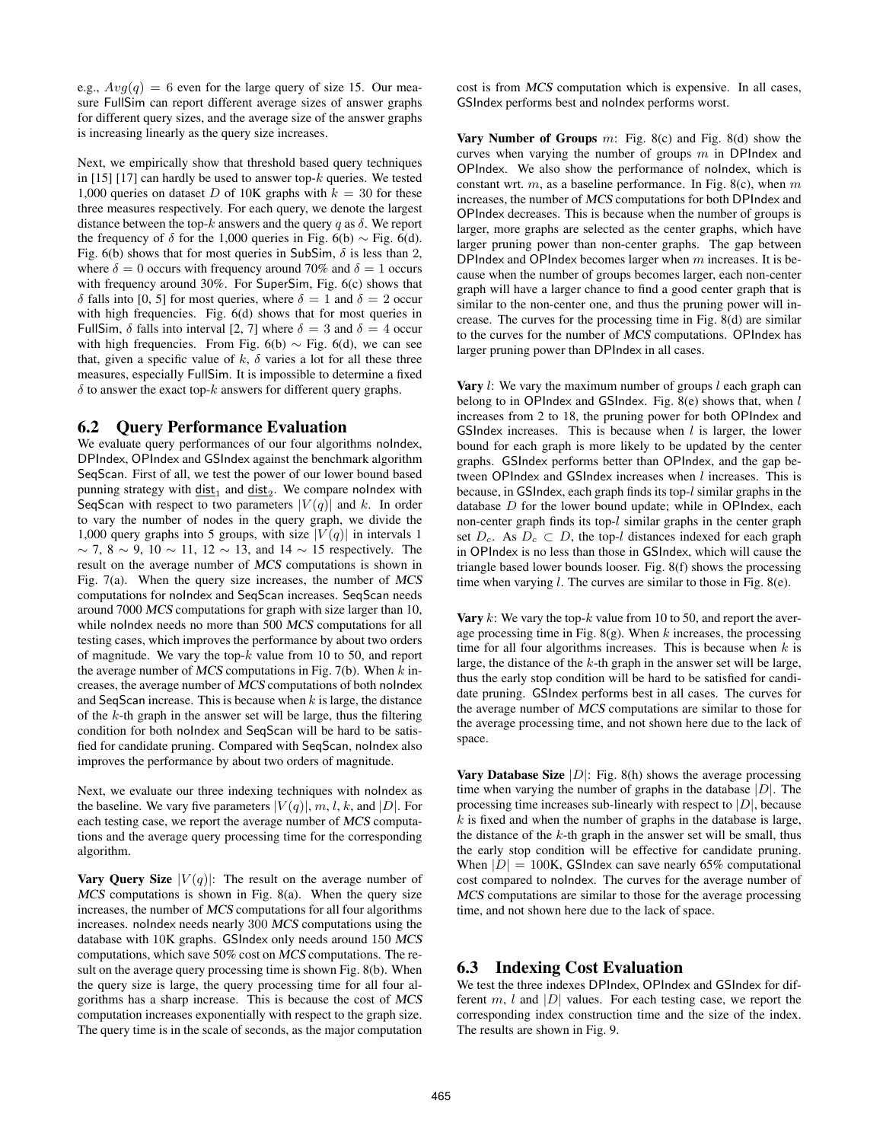e.g.,  $Avg(q) = 6$  even for the large query of size 15. Our measure FullSim can report different average sizes of answer graphs for different query sizes, and the average size of the answer graphs is increasing linearly as the query size increases.

Next, we empirically show that threshold based query techniques in  $[15]$  [17] can hardly be used to answer top- $k$  queries. We tested 1,000 queries on dataset D of 10K graphs with  $k = 30$  for these three measures respectively. For each query, we denote the largest distance between the top-k answers and the query q as  $\delta$ . We report the frequency of  $\delta$  for the 1,000 queries in Fig. 6(b)  $\sim$  Fig. 6(d). Fig. 6(b) shows that for most queries in SubSim,  $\delta$  is less than 2, where  $\delta = 0$  occurs with frequency around 70% and  $\delta = 1$  occurs with frequency around 30%. For SuperSim, Fig. 6(c) shows that δ falls into [0, 5] for most queries, where  $\delta = 1$  and  $\delta = 2$  occur with high frequencies. Fig. 6(d) shows that for most queries in FullSim,  $\delta$  falls into interval [2, 7] where  $\delta = 3$  and  $\delta = 4$  occur with high frequencies. From Fig. 6(b)  $\sim$  Fig. 6(d), we can see that, given a specific value of k,  $\delta$  varies a lot for all these three measures, especially FullSim. It is impossible to determine a fixed  $\delta$  to answer the exact top- $k$  answers for different query graphs.

## 6.2 Query Performance Evaluation

We evaluate query performances of our four algorithms noIndex, DPIndex, OPIndex and GSIndex against the benchmark algorithm SeqScan. First of all, we test the power of our lower bound based punning strategy with  $dist_1$  and  $dist_2$ . We compare noIndex with SeqScan with respect to two parameters  $|V(q)|$  and k. In order to vary the number of nodes in the query graph, we divide the 1,000 query graphs into 5 groups, with size  $|V(q)|$  in intervals 1  $\sim$  7, 8  $\sim$  9, 10  $\sim$  11, 12  $\sim$  13, and 14  $\sim$  15 respectively. The result on the average number of MCS computations is shown in Fig.  $7(a)$ . When the query size increases, the number of  $MCS$ computations for noIndex and SeqScan increases. SeqScan needs around 7000 MCS computations for graph with size larger than 10, while noIndex needs no more than 500 MCS computations for all testing cases, which improves the performance by about two orders of magnitude. We vary the top- $k$  value from 10 to 50, and report the average number of MCS computations in Fig. 7(b). When  $k$  increases, the average number of MCS computations of both noIndex and SeqScan increase. This is because when  $k$  is large, the distance of the  $k$ -th graph in the answer set will be large, thus the filtering condition for both noIndex and SeqScan will be hard to be satisfied for candidate pruning. Compared with SeqScan, noIndex also improves the performance by about two orders of magnitude.

Next, we evaluate our three indexing techniques with noIndex as the baseline. We vary five parameters  $|V(q)|, m, l, k$ , and  $|D|$ . For each testing case, we report the average number of MCS computations and the average query processing time for the corresponding algorithm.

Vary Query Size  $|V(q)|$ : The result on the average number of MCS computations is shown in Fig. 8(a). When the query size increases, the number of MCS computations for all four algorithms increases. noIndex needs nearly 300 MCS computations using the database with 10K graphs. GSIndex only needs around 150 MCS computations, which save 50% cost on MCS computations. The result on the average query processing time is shown Fig. 8(b). When the query size is large, the query processing time for all four algorithms has a sharp increase. This is because the cost of MCS computation increases exponentially with respect to the graph size. The query time is in the scale of seconds, as the major computation cost is from MCS computation which is expensive. In all cases, GSIndex performs best and noIndex performs worst.

Vary Number of Groups  $m$ : Fig. 8(c) and Fig. 8(d) show the curves when varying the number of groups  $m$  in DPIndex and OPIndex. We also show the performance of noIndex, which is constant wrt.  $m$ , as a baseline performance. In Fig. 8(c), when  $m$ increases, the number of MCS computations for both DPIndex and OPIndex decreases. This is because when the number of groups is larger, more graphs are selected as the center graphs, which have larger pruning power than non-center graphs. The gap between DPIndex and OPIndex becomes larger when  $m$  increases. It is because when the number of groups becomes larger, each non-center graph will have a larger chance to find a good center graph that is similar to the non-center one, and thus the pruning power will increase. The curves for the processing time in Fig. 8(d) are similar to the curves for the number of MCS computations. OPIndex has larger pruning power than DPIndex in all cases.

Vary  $l$ : We vary the maximum number of groups  $l$  each graph can belong to in OPIndex and GSIndex. Fig. 8(e) shows that, when  $l$ increases from 2 to 18, the pruning power for both OPIndex and GSIndex increases. This is because when  $l$  is larger, the lower bound for each graph is more likely to be updated by the center graphs. GSIndex performs better than OPIndex, and the gap between OPIndex and GSIndex increases when l increases. This is because, in GSIndex, each graph finds its top-l similar graphs in the database D for the lower bound update; while in OPIndex, each non-center graph finds its top-l similar graphs in the center graph set  $D_c$ . As  $D_c \subset D$ , the top-l distances indexed for each graph in OPIndex is no less than those in GSIndex, which will cause the triangle based lower bounds looser. Fig. 8(f) shows the processing time when varying  $l$ . The curves are similar to those in Fig. 8(e).

Vary k: We vary the top-k value from 10 to 50, and report the average processing time in Fig. 8(g). When  $k$  increases, the processing time for all four algorithms increases. This is because when  $k$  is large, the distance of the  $k$ -th graph in the answer set will be large, thus the early stop condition will be hard to be satisfied for candidate pruning. GSIndex performs best in all cases. The curves for the average number of MCS computations are similar to those for the average processing time, and not shown here due to the lack of space.

Vary Database Size  $|D|$ : Fig. 8(h) shows the average processing time when varying the number of graphs in the database  $|D|$ . The processing time increases sub-linearly with respect to  $|D|$ , because  $k$  is fixed and when the number of graphs in the database is large, the distance of the  $k$ -th graph in the answer set will be small, thus the early stop condition will be effective for candidate pruning. When  $|D| = 100K$ , GSIndex can save nearly 65% computational cost compared to noIndex. The curves for the average number of MCS computations are similar to those for the average processing time, and not shown here due to the lack of space.

# 6.3 Indexing Cost Evaluation

We test the three indexes DPIndex, OPIndex and GSIndex for different  $m$ ,  $l$  and  $|D|$  values. For each testing case, we report the corresponding index construction time and the size of the index. The results are shown in Fig. 9.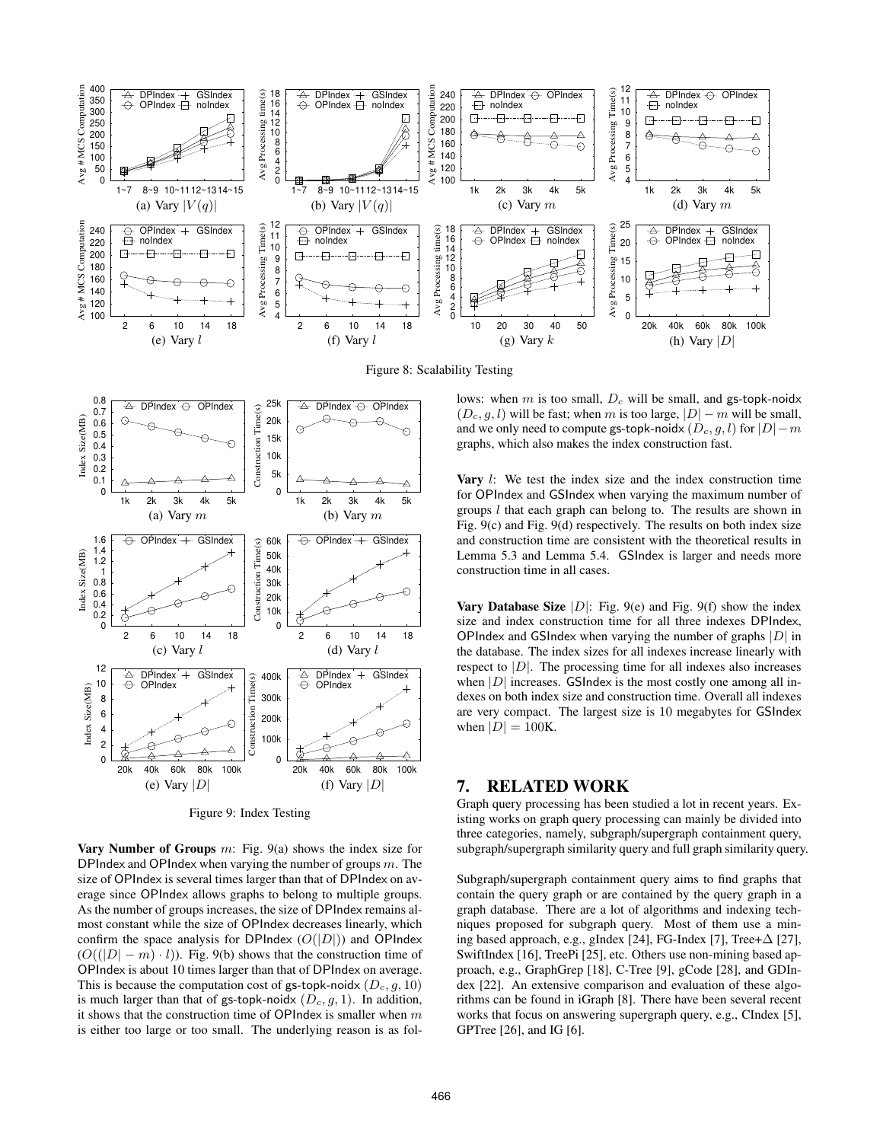

Figure 8: Scalability Testing



Figure 9: Index Testing

Vary Number of Groups  $m$ : Fig. 9(a) shows the index size for DPIndex and OPIndex when varying the number of groups  $m$ . The size of OPIndex is several times larger than that of DPIndex on average since OPIndex allows graphs to belong to multiple groups. As the number of groups increases, the size of DPIndex remains almost constant while the size of OPIndex decreases linearly, which confirm the space analysis for DPIndex  $(O(|D|))$  and OPIndex  $(O((|D| - m) \cdot l))$ . Fig. 9(b) shows that the construction time of OPIndex is about 10 times larger than that of DPIndex on average. This is because the computation cost of gs-topk-noidx  $(D_c, g, 10)$ is much larger than that of gs-topk-noidx  $(D_c, g, 1)$ . In addition, it shows that the construction time of OPIndex is smaller when  $m$ is either too large or too small. The underlying reason is as follows: when  $m$  is too small,  $D_c$  will be small, and gs-topk-noidx  $(D_c, g, l)$  will be fast; when m is too large,  $|D| - m$  will be small, and we only need to compute gs-topk-noidx  $(D_c, g, l)$  for  $|D| - m$ graphs, which also makes the index construction fast.

Vary  $l$ : We test the index size and the index construction time for OPIndex and GSIndex when varying the maximum number of groups  $l$  that each graph can belong to. The results are shown in Fig. 9(c) and Fig. 9(d) respectively. The results on both index size and construction time are consistent with the theoretical results in Lemma 5.3 and Lemma 5.4. GSIndex is larger and needs more construction time in all cases.

**Vary Database Size**  $|D|$ : Fig. 9(e) and Fig. 9(f) show the index size and index construction time for all three indexes DPIndex, OPIndex and GSIndex when varying the number of graphs  $|D|$  in the database. The index sizes for all indexes increase linearly with respect to  $|D|$ . The processing time for all indexes also increases when  $|D|$  increases. GSIndex is the most costly one among all indexes on both index size and construction time. Overall all indexes are very compact. The largest size is 10 megabytes for GSIndex when  $|D| = 100$ K.

# 7. RELATED WORK

Graph query processing has been studied a lot in recent years. Existing works on graph query processing can mainly be divided into three categories, namely, subgraph/supergraph containment query, subgraph/supergraph similarity query and full graph similarity query.

Subgraph/supergraph containment query aims to find graphs that contain the query graph or are contained by the query graph in a graph database. There are a lot of algorithms and indexing techniques proposed for subgraph query. Most of them use a mining based approach, e.g., gIndex [24], FG-Index [7], Tree+ $\Delta$  [27], SwiftIndex [16], TreePi [25], etc. Others use non-mining based approach, e.g., GraphGrep [18], C-Tree [9], gCode [28], and GDIndex [22]. An extensive comparison and evaluation of these algorithms can be found in iGraph [8]. There have been several recent works that focus on answering supergraph query, e.g., CIndex [5], GPTree [26], and IG [6].